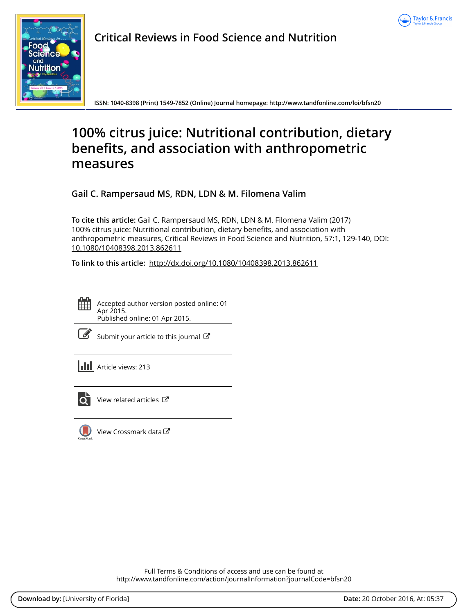



**Critical Reviews in Food Science and Nutrition**

**ISSN: 1040-8398 (Print) 1549-7852 (Online) Journal homepage:<http://www.tandfonline.com/loi/bfsn20>**

# **100% citrus juice: Nutritional contribution, dietary benefits, and association with anthropometric measures**

**Gail C. Rampersaud MS, RDN, LDN & M. Filomena Valim**

**To cite this article:** Gail C. Rampersaud MS, RDN, LDN & M. Filomena Valim (2017) 100% citrus juice: Nutritional contribution, dietary benefits, and association with anthropometric measures, Critical Reviews in Food Science and Nutrition, 57:1, 129-140, DOI: [10.1080/10408398.2013.862611](http://www.tandfonline.com/action/showCitFormats?doi=10.1080/10408398.2013.862611)

**To link to this article:** <http://dx.doi.org/10.1080/10408398.2013.862611>



Accepted author version posted online: 01 Apr 2015. Published online: 01 Apr 2015.

| __<br>ł<br>۰. |
|---------------|
|---------------|

[Submit your article to this journal](http://www.tandfonline.com/action/authorSubmission?journalCode=bfsn20&show=instructions)  $\mathbb{Z}$ 

**III** Article views: 213



 $\overline{\mathbf{C}}$  [View related articles](http://www.tandfonline.com/doi/mlt/10.1080/10408398.2013.862611)  $\mathbf{C}$ 



[View Crossmark data](http://crossmark.crossref.org/dialog/?doi=10.1080/10408398.2013.862611&domain=pdf&date_stamp=2015-04-01)<sup>で</sup>

Full Terms & Conditions of access and use can be found at <http://www.tandfonline.com/action/journalInformation?journalCode=bfsn20>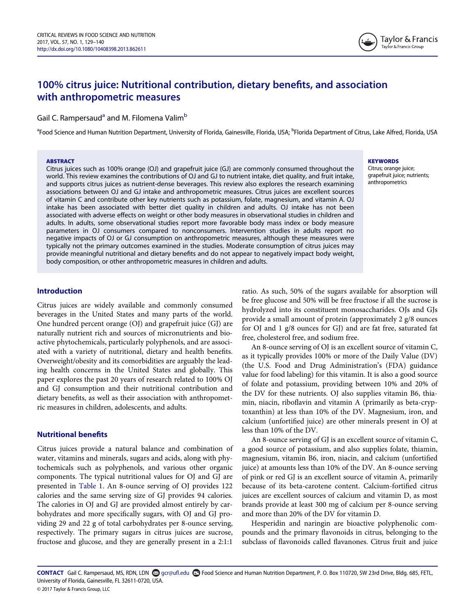

# 100% citrus juice: Nutritional contribution, dietary benefits, and association with anthropometric measures

# G[a](#page-1-0)il C. Rampersaud<sup>a</sup> and M. Filomena Valim<sup>b</sup>

<span id="page-1-0"></span><sup>a</sup>Food Science and Human Nutrition Department, University of Florida, Gainesville, Florida, USA; <sup>b</sup>Florida Department of Citrus, Lake Alfred, Florida, USA

#### **ARSTRACT**

Citrus juices such as 100% orange (OJ) and grapefruit juice (GJ) are commonly consumed throughout the world. This review examines the contributions of OJ and GJ to nutrient intake, diet quality, and fruit intake, and supports citrus juices as nutrient-dense beverages. This review also explores the research examining associations between OJ and GJ intake and anthropometric measures. Citrus juices are excellent sources of vitamin C and contribute other key nutrients such as potassium, folate, magnesium, and vitamin A. OJ intake has been associated with better diet quality in children and adults. OJ intake has not been associated with adverse effects on weight or other body measures in observational studies in children and adults. In adults, some observational studies report more favorable body mass index or body measure parameters in OJ consumers compared to nonconsumers. Intervention studies in adults report no negative impacts of OJ or GJ consumption on anthropometric measures, although these measures were typically not the primary outcomes examined in the studies. Moderate consumption of citrus juices may provide meaningful nutritional and dietary benefits and do not appear to negatively impact body weight, body composition, or other anthropometric measures in children and adults.

#### **KEYWORDS**

Citrus; orange juice; grapefruit juice; nutrients; anthropometrics

# Introduction

Citrus juices are widely available and commonly consumed beverages in the United States and many parts of the world. One hundred percent orange (OJ) and grapefruit juice (GJ) are naturally nutrient rich and sources of micronutrients and bioactive phytochemicals, particularly polyphenols, and are associated with a variety of nutritional, dietary and health benefits. Overweight/obesity and its comorbidities are arguably the leading health concerns in the United States and globally. This paper explores the past 20 years of research related to 100% OJ and GJ consumption and their nutritional contribution and dietary benefits, as well as their association with anthropometric measures in children, adolescents, and adults.

# Nutritional benefits

Citrus juices provide a natural balance and combination of water, vitamins and minerals, sugars and acids, along with phytochemicals such as polyphenols, and various other organic components. The typical nutritional values for OJ and GJ are presented in [Table 1](#page-2-0). An 8-ounce serving of OJ provides 122 calories and the same serving size of GJ provides 94 calories. The calories in OJ and GJ are provided almost entirely by carbohydrates and more specifically sugars, with OJ and GJ providing 29 and 22 g of total carbohydrates per 8-ounce serving, respectively. The primary sugars in citrus juices are sucrose, fructose and glucose, and they are generally present in a 2:1:1

ratio. As such, 50% of the sugars available for absorption will be free glucose and 50% will be free fructose if all the sucrose is hydrolyzed into its constituent monosaccharides. OJs and GJs provide a small amount of protein (approximately 2 g/8 ounces for OJ and 1 g/8 ounces for GJ) and are fat free, saturated fat free, cholesterol free, and sodium free.

An 8-ounce serving of OJ is an excellent source of vitamin C, as it typically provides 100% or more of the Daily Value (DV) (the U.S. Food and Drug Administration's (FDA) guidance value for food labeling) for this vitamin. It is also a good source of folate and potassium, providing between 10% and 20% of the DV for these nutrients. OJ also supplies vitamin B6, thiamin, niacin, riboflavin and vitamin A (primarily as beta-cryptoxanthin) at less than 10% of the DV. Magnesium, iron, and calcium (unfortified juice) are other minerals present in OJ at less than 10% of the DV.

An 8-ounce serving of GJ is an excellent source of vitamin C, a good source of potassium, and also supplies folate, thiamin, magnesium, vitamin B6, iron, niacin, and calcium (unfortified juice) at amounts less than 10% of the DV. An 8-ounce serving of pink or red GJ is an excellent source of vitamin A, primarily because of its beta-carotene content. Calcium-fortified citrus juices are excellent sources of calcium and vitamin D, as most brands provide at least 300 mg of calcium per 8-ounce serving and more than 20% of the DV for vitamin D.

Hesperidin and naringin are bioactive polyphenolic compounds and the primary flavonoids in citrus, belonging to the subclass of flavonoids called flavanones. Citrus fruit and juice

CONTACT Gail C. Rampersaud, MS, RDN, LDN gcr@ufl.edu Food Science and Human Nutrition Department, P. O. Box 110720, SW 23rd Drive, Bldg. 685, FETL, University of Florida, Gainesville, FL 32611-0720, USA.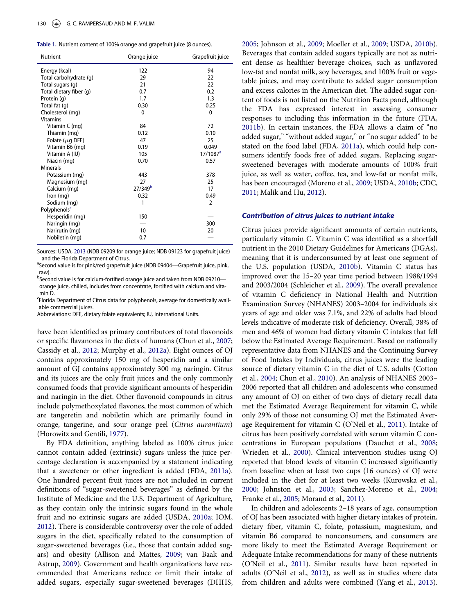<span id="page-2-0"></span>

| Table 1. Nutrient content of 100% orange and grapefruit juice (8 ounces). |  |  |  |  |  |  |  |  |  |  |
|---------------------------------------------------------------------------|--|--|--|--|--|--|--|--|--|--|
|---------------------------------------------------------------------------|--|--|--|--|--|--|--|--|--|--|

| Nutrient                 | Orange juice        | Grapefruit juice       |
|--------------------------|---------------------|------------------------|
| Energy (kcal)            | 122                 | 94                     |
| Total carbohydrate (q)   | 29                  | 22                     |
| Total sugars (g)         | 21                  | 22                     |
| Total dietary fiber (g)  | 0.7                 | 0.2                    |
| Protein (q)              | 1.7                 | 1.3                    |
| Total fat (g)            | 0.30                | 0.25                   |
| Cholesterol (mg)         | 0                   | 0                      |
| <b>Vitamins</b>          |                     |                        |
| Vitamin C (mg)           | 84                  | 72                     |
| Thiamin (mg)             | 0.12                | 0.10                   |
| Folate ( $\mu$ g DFE)    | 47                  | 25                     |
| Vitamin B6 (mg)          | 0.19                | 0.049                  |
| Vitamin A (IU)           | 105                 | $17/1087$ <sup>a</sup> |
| Niacin (mg)              | 0.70                | 0.57                   |
| <b>Minerals</b>          |                     |                        |
| Potassium (mg)           | 443                 | 378                    |
| Magnesium (mg)           | 27                  | 25                     |
| Calcium (mg)             | 27/349 <sup>b</sup> | 17                     |
| Iron $(mq)$              | 0.32                | 0.49                   |
| Sodium (mg)              | 1                   | $\mathcal{P}$          |
| Polyphenols <sup>c</sup> |                     |                        |
| Hesperidin (mg)          | 150                 |                        |
| Naringin (mg)            |                     | 300                    |
| Narirutin (mg)           | 10                  | 20                     |
| Nobiletin (mg)           | 0.7                 |                        |

Sources: USDA, [2013](#page-11-8) (NDB 09209 for orange juice; NDB 09123 for grapefruit juice) and the Florida Department of Citrus.

<span id="page-2-1"></span><sup>a</sup>Second value is for pink/red grapefruit juice (NDB 09404-Grapefruit juice, pink, raw).

<span id="page-2-2"></span><sup>b</sup>Second value is for calcium-fortified orange juice and taken from NDB 09210orange juice, chilled, includes from concentrate, fortified with calcium and vitamin D.

<span id="page-2-3"></span>Florida Department of Citrus data for polyphenols, average for domestically available commercial juices.

Abbreviations: DFE, dietary folate equivalents; IU, International Units.

have been identified as primary contributors of total flavonoids or specific flavanones in the diets of humans (Chun et al., [2007;](#page-9-0) Cassidy et al., [2012](#page-9-1); Murphy et al., [2012a\)](#page-11-0). Eight ounces of OJ contains approximately 150 mg of hesperidin and a similar amount of GJ contains approximately 300 mg naringin. Citrus and its juices are the only fruit juices and the only commonly consumed foods that provide significant amounts of hesperidin and naringin in the diet. Other flavonoid compounds in citrus include polymethoxylated flavones, the most common of which are tangeretin and nobiletin which are primarily found in orange, tangerine, and sour orange peel (Citrus aurantium) (Horowitz and Gentili, [1977\)](#page-10-0).

By FDA definition, anything labeled as 100% citrus juice cannot contain added (extrinsic) sugars unless the juice percentage declaration is accompanied by a statement indicating that a sweetener or other ingredient is added (FDA, [2011a](#page-9-2)). One hundred percent fruit juices are not included in current definitions of "sugar-sweetened beverages" as defined by the Institute of Medicine and the U.S. Department of Agriculture, as they contain only the intrinsic sugars found in the whole fruit and no extrinsic sugars are added (USDA, [2010a](#page-11-1); IOM, [2012\)](#page-10-1). There is considerable controversy over the role of added sugars in the diet, specifically related to the consumption of sugar-sweetened beverages (i.e., those that contain added sugars) and obesity (Allison and Mattes, [2009](#page-9-3); van Baak and Astrup, [2009\)](#page-11-2). Government and health organizations have recommended that Americans reduce or limit their intake of added sugars, especially sugar-sweetened beverages (DHHS,

[2005](#page-9-4); Johnson et al., [2009;](#page-10-2) Moeller et al., [2009](#page-10-3); USDA, [2010b\)](#page-11-3). Beverages that contain added sugars typically are not as nutrient dense as healthier beverage choices, such as unflavored low-fat and nonfat milk, soy beverages, and 100% fruit or vegetable juices, and may contribute to added sugar consumption and excess calories in the American diet. The added sugar content of foods is not listed on the Nutrition Facts panel, although the FDA has expressed interest in assessing consumer responses to including this information in the future (FDA, [2011b](#page-9-5)). In certain instances, the FDA allows a claim of "no added sugar," "without added sugar," or "no sugar added" to be stated on the food label (FDA, [2011a\)](#page-9-2), which could help consumers identify foods free of added sugars. Replacing sugarsweetened beverages with moderate amounts of 100% fruit juice, as well as water, coffee, tea, and low-fat or nonfat milk, has been encouraged (Moreno et al., [2009;](#page-10-4) USDA, [2010b;](#page-11-3) CDC, [2011](#page-9-6); Malik and Hu, [2012](#page-10-5)).

#### Contribution of citrus juices to nutrient intake

Citrus juices provide significant amounts of certain nutrients, particularly vitamin C. Vitamin C was identified as a shortfall nutrient in the 2010 Dietary Guidelines for Americans (DGAs), meaning that it is underconsumed by at least one segment of the U.S. population (USDA, [2010b](#page-11-3)). Vitamin C status has improved over the 15–20 year time period between 1988/1994 and 2003/2004 (Schleicher et al., [2009\)](#page-11-4). The overall prevalence of vitamin C deficiency in National Health and Nutrition Examination Survey (NHANES) 2003–2004 for individuals six years of age and older was 7.1%, and 22% of adults had blood levels indicative of moderate risk of deficiency. Overall, 38% of men and 46% of women had dietary vitamin C intakes that fell below the Estimated Average Requirement. Based on nationally representative data from NHANES and the Continuing Survey of Food Intakes by Individuals, citrus juices were the leading source of dietary vitamin C in the diet of U.S. adults (Cotton et al., [2004](#page-9-7); Chun et al., [2010](#page-9-8)). An analysis of NHANES 2003– 2006 reported that all children and adolescents who consumed any amount of OJ on either of two days of dietary recall data met the Estimated Average Requirement for vitamin C, while only 29% of those not consuming OJ met the Estimated Average Requirement for vitamin C (O'Neil et al., [2011\)](#page-11-5). Intake of citrus has been positively correlated with serum vitamin C concentrations in European populations (Dauchet et al., [2008;](#page-9-9) Wrieden et al., [2000](#page-12-0)). Clinical intervention studies using OJ reported that blood levels of vitamin C increased significantly from baseline when at least two cups (16 ounces) of OJ were included in the diet for at least two weeks (Kurowska et al., [2000](#page-10-6); Johnston et al., [2003;](#page-10-7) Sanchez-Moreno et al., [2004;](#page-11-6) Franke et al., [2005](#page-10-8); Morand et al., [2011](#page-10-9)).

In children and adolescents 2–18 years of age, consumption of OJ has been associated with higher dietary intakes of protein, dietary fiber, vitamin C, folate, potassium, magnesium, and vitamin B6 compared to nonconsumers, and consumers are more likely to meet the Estimated Average Requirement or Adequate Intake recommendations for many of these nutrients (O'Neil et al., [2011](#page-11-5)). Similar results have been reported in adults (O'Neil et al., [2012](#page-11-7)), as well as in studies where data from children and adults were combined (Yang et al., [2013\)](#page-12-1).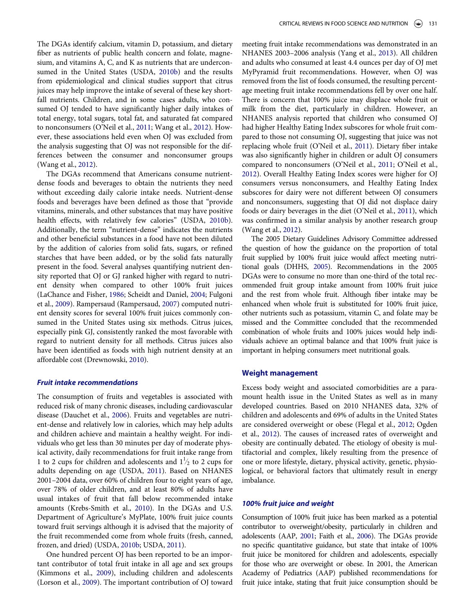The DGAs identify calcium, vitamin D, potassium, and dietary fiber as nutrients of public health concern and folate, magnesium, and vitamins A, C, and K as nutrients that are underconsumed in the United States (USDA, [2010b](#page-11-3)) and the results from epidemiological and clinical studies support that citrus juices may help improve the intake of several of these key shortfall nutrients. Children, and in some cases adults, who consumed OJ tended to have significantly higher daily intakes of total energy, total sugars, total fat, and saturated fat compared to nonconsumers (O'Neil et al., [2011;](#page-11-5) Wang et al., [2012\)](#page-11-9). However, these associations held even when OJ was excluded from the analysis suggesting that OJ was not responsible for the differences between the consumer and nonconsumer groups (Wang et al., [2012\)](#page-11-9).

The DGAs recommend that Americans consume nutrientdense foods and beverages to obtain the nutrients they need without exceeding daily calorie intake needs. Nutrient-dense foods and beverages have been defined as those that "provide vitamins, minerals, and other substances that may have positive health effects, with relatively few calories" (USDA, [2010b](#page-11-3)). Additionally, the term "nutrient-dense" indicates the nutrients and other beneficial substances in a food have not been diluted by the addition of calories from solid fats, sugars, or refined starches that have been added, or by the solid fats naturally present in the food. Several analyses quantifying nutrient density reported that OJ or GJ ranked higher with regard to nutrient density when compared to other 100% fruit juices (LaChance and Fisher, [1986;](#page-10-10) Scheidt and Daniel, [2004;](#page-11-10) Fulgoni et al., [2009](#page-10-11)). Rampersaud (Rampersaud, [2007](#page-11-11)) computed nutrient density scores for several 100% fruit juices commonly consumed in the United States using six methods. Citrus juices, especially pink GJ, consistently ranked the most favorable with regard to nutrient density for all methods. Citrus juices also have been identified as foods with high nutrient density at an affordable cost (Drewnowski, [2010\)](#page-9-10).

#### Fruit intake recommendations

The consumption of fruits and vegetables is associated with reduced risk of many chronic diseases, including cardiovascular disease (Dauchet et al., [2006\)](#page-9-11). Fruits and vegetables are nutrient-dense and relatively low in calories, which may help adults and children achieve and maintain a healthy weight. For individuals who get less than 30 minutes per day of moderate physical activity, daily recommendations for fruit intake range from 1 to 2 cups for children and adolescents and  $1\frac{1}{2}$  to 2 cups for adults depending on age (USDA, [2011\)](#page-11-12). Based on NHANES 2001–2004 data, over 60% of children four to eight years of age, over 78% of older children, and at least 80% of adults have usual intakes of fruit that fall below recommended intake amounts (Krebs-Smith et al., [2010](#page-10-12)). In the DGAs and U.S. Department of Agriculture's MyPlate, 100% fruit juice counts toward fruit servings although it is advised that the majority of the fruit recommended come from whole fruits (fresh, canned, frozen, and dried) (USDA, [2010b;](#page-11-3) USDA, [2011](#page-11-12)).

One hundred percent OJ has been reported to be an important contributor of total fruit intake in all age and sex groups (Kimmons et al., [2009](#page-10-13)), including children and adolescents (Lorson et al., [2009](#page-10-14)). The important contribution of OJ toward meeting fruit intake recommendations was demonstrated in an NHANES 2003–2006 analysis (Yang et al., [2013](#page-12-1)). All children and adults who consumed at least 4.4 ounces per day of OJ met MyPyramid fruit recommendations. However, when OJ was removed from the list of foods consumed, the resulting percentage meeting fruit intake recommendations fell by over one half. There is concern that 100% juice may displace whole fruit or milk from the diet, particularly in children. However, an NHANES analysis reported that children who consumed OJ had higher Healthy Eating Index subscores for whole fruit compared to those not consuming OJ, suggesting that juice was not replacing whole fruit (O'Neil et al., [2011\)](#page-11-5). Dietary fiber intake was also significantly higher in children or adult OJ consumers compared to nonconsumers (O'Neil et al., [2011;](#page-11-5) O'Neil et al., [2012](#page-11-7)). Overall Healthy Eating Index scores were higher for OJ consumers versus nonconsumers, and Healthy Eating Index subscores for dairy were not different between OJ consumers and nonconsumers, suggesting that OJ did not displace dairy foods or dairy beverages in the diet (O'Neil et al., [2011\)](#page-11-5), which was confirmed in a similar analysis by another research group (Wang et al., [2012](#page-11-9)).

The 2005 Dietary Guidelines Advisory Committee addressed the question of how the guidance on the proportion of total fruit supplied by 100% fruit juice would affect meeting nutritional goals (DHHS, [2005\)](#page-9-4). Recommendations in the 2005 DGAs were to consume no more than one-third of the total recommended fruit group intake amount from 100% fruit juice and the rest from whole fruit. Although fiber intake may be enhanced when whole fruit is substituted for 100% fruit juice, other nutrients such as potassium, vitamin C, and folate may be missed and the Committee concluded that the recommended combination of whole fruits and 100% juices would help individuals achieve an optimal balance and that 100% fruit juice is important in helping consumers meet nutritional goals.

#### Weight management

Excess body weight and associated comorbidities are a paramount health issue in the United States as well as in many developed countries. Based on 2010 NHANES data, 32% of children and adolescents and 69% of adults in the United States are considered overweight or obese (Flegal et al., [2012](#page-10-15); Ogden et al., [2012](#page-11-13)). The causes of increased rates of overweight and obesity are continually debated. The etiology of obesity is multifactorial and complex, likely resulting from the presence of one or more lifestyle, dietary, physical activity, genetic, physiological, or behavioral factors that ultimately result in energy imbalance.

# 100% fruit juice and weight

Consumption of 100% fruit juice has been marked as a potential contributor to overweight/obesity, particularly in children and adolescents (AAP, [2001](#page-9-12); Faith et al., [2006\)](#page-9-13). The DGAs provide no specific quantitative guidance, but state that intake of 100% fruit juice be monitored for children and adolescents, especially for those who are overweight or obese. In 2001, the American Academy of Pediatrics (AAP) published recommendations for fruit juice intake, stating that fruit juice consumption should be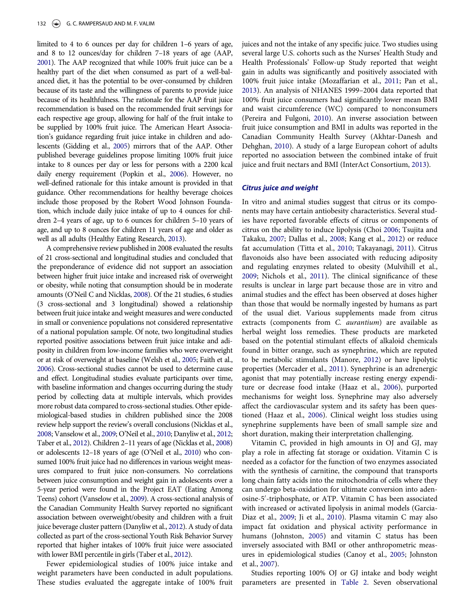limited to 4 to 6 ounces per day for children 1–6 years of age, and 8 to 12 ounces/day for children 7–18 years of age (AAP, [2001](#page-9-12)). The AAP recognized that while 100% fruit juice can be a healthy part of the diet when consumed as part of a well-balanced diet, it has the potential to be over-consumed by children because of its taste and the willingness of parents to provide juice because of its healthfulness. The rationale for the AAP fruit juice recommendation is based on the recommended fruit servings for each respective age group, allowing for half of the fruit intake to be supplied by 100% fruit juice. The American Heart Association's guidance regarding fruit juice intake in children and adolescents (Gidding et al., [2005](#page-10-16)) mirrors that of the AAP. Other published beverage guidelines propose limiting 100% fruit juice intake to 8 ounces per day or less for persons with a 2200 kcal daily energy requirement (Popkin et al., [2006](#page-11-14)). However, no well-defined rationale for this intake amount is provided in that guidance. Other recommendations for healthy beverage choices include those proposed by the Robert Wood Johnson Foundation, which include daily juice intake of up to 4 ounces for children 2–4 years of age, up to 6 ounces for children 5–10 years of age, and up to 8 ounces for children 11 years of age and older as well as all adults (Healthy Eating Research, [2013\)](#page-10-17).

A comprehensive review published in 2008 evaluated the results of 21 cross-sectional and longitudinal studies and concluded that the preponderance of evidence did not support an association between higher fruit juice intake and increased risk of overweight or obesity, while noting that consumption should be in moderate amounts (O'Neil C and Nicklas, [2008\)](#page-11-15). Of the 21 studies, 6 studies (3 cross-sectional and 3 longitudinal) showed a relationship between fruit juice intake and weight measures and were conducted in small or convenience populations not considered representative of a national population sample. Of note, two longitudinal studies reported positive associations between fruit juice intake and adiposity in children from low-income families who were overweight or at risk of overweight at baseline (Welsh et al., [2005](#page-12-2); Faith et al., [2006](#page-9-13)). Cross-sectional studies cannot be used to determine cause and effect. Longitudinal studies evaluate participants over time, with baseline information and changes occurring during the study period by collecting data at multiple intervals, which provides more robust data compared to cross-sectional studies. Other epidemiological-based studies in children published since the 2008 review help support the review's overall conclusions (Nicklas et al., [2008](#page-11-16); Vanselow et al., [2009](#page-11-17); O'Neil et al., [2010;](#page-11-18) Danyliw et al., [2012;](#page-9-14) Taber et al., [2012](#page-11-19)). Children 2–11 years of age (Nicklas et al., [2008\)](#page-11-16) or adolescents 12–18 years of age (O'Neil et al., [2010](#page-11-18)) who consumed 100% fruit juice had no differences in various weight measures compared to fruit juice non-consumers. No correlations between juice consumption and weight gain in adolescents over a 5-year period were found in the Project EAT (Eating Among Teens) cohort (Vanselow et al., [2009](#page-11-17)). A cross-sectional analysis of the Canadian Community Health Survey reported no significant association between overweight/obesity and children with a fruit juice beverage cluster pattern (Danyliw et al., [2012\)](#page-9-14). A study of data collected as part of the cross-sectional Youth Risk Behavior Survey reported that higher intakes of 100% fruit juice were associated with lower BMI percentile in girls (Taber et al., [2012\)](#page-11-19).

Fewer epidemiological studies of 100% juice intake and weight parameters have been conducted in adult populations. These studies evaluated the aggregate intake of 100% fruit juices and not the intake of any specific juice. Two studies using several large U.S. cohorts such as the Nurses' Health Study and Health Professionals' Follow-up Study reported that weight gain in adults was significantly and positively associated with 100% fruit juice intake (Mozaffarian et al., [2011;](#page-10-18) Pan et al., [2013](#page-11-20)). An analysis of NHANES 1999–2004 data reported that 100% fruit juice consumers had significantly lower mean BMI and waist circumference (WC) compared to nonconsumers (Pereira and Fulgoni, [2010\)](#page-11-21). An inverse association between fruit juice consumption and BMI in adults was reported in the Canadian Community Health Survey (Akhtar-Danesh and Dehghan, [2010\)](#page-9-15). A study of a large European cohort of adults reported no association between the combined intake of fruit juice and fruit nectars and BMI (InterAct Consortium, [2013\)](#page-10-19).

#### Citrus juice and weight

In vitro and animal studies suggest that citrus or its components may have certain antiobesity characteristics. Several studies have reported favorable effects of citrus or components of citrus on the ability to induce lipolysis (Choi [2006;](#page-9-16) Tsujita and Takaku, [2007;](#page-11-22) Dallas et al., [2008](#page-9-17); Kang et al., [2012\)](#page-10-20) or reduce fat accumulation (Titta et al., [2010](#page-11-23); Takayanagi, [2011](#page-11-24)). Citrus flavonoids also have been associated with reducing adiposity and regulating enzymes related to obesity (Mulvihill et al., [2009](#page-10-21); Nichols et al., [2011\)](#page-11-25). The clinical significance of these results is unclear in large part because those are in vitro and animal studies and the effect has been observed at doses higher than those that would be normally ingested by humans as part of the usual diet. Various supplements made from citrus extracts (components from C. aurantium) are available as herbal weight loss remedies. These products are marketed based on the potential stimulant effects of alkaloid chemicals found in bitter orange, such as synephrine, which are reputed to be metabolic stimulants (Manore, [2012](#page-10-22)) or have lipolytic properties (Mercader et al., [2011](#page-10-23)). Synephrine is an adrenergic agonist that may potentially increase resting energy expenditure or decrease food intake (Haaz et al., [2006](#page-10-24)), purported mechanisms for weight loss. Synephrine may also adversely affect the cardiovascular system and its safety has been questioned (Haaz et al., [2006](#page-10-24)). Clinical weight loss studies using synephrine supplements have been of small sample size and short duration, making their interpretation challenging.

Vitamin C, provided in high amounts in OJ and GJ, may play a role in affecting fat storage or oxidation. Vitamin C is needed as a cofactor for the function of two enzymes associated with the synthesis of carnitine, the compound that transports long chain fatty acids into the mitochondria of cells where they can undergo beta-oxidation for ultimate conversion into adenosine-5'-triphosphate, or ATP. Vitamin C has been associated with increased or activated lipolysis in animal models (Garcia-Diaz et al., [2009;](#page-10-25) Ji et al., [2010\)](#page-10-26). Plasma vitamin C may also impact fat oxidation and physical activity performance in humans (Johnston, [2005\)](#page-10-27) and vitamin C status has been inversely associated with BMI or other anthropometric measures in epidemiological studies (Canoy et al., [2005;](#page-9-18) Johnston et al., [2007](#page-10-28)).

Studies reporting 100% OJ or GJ intake and body weight parameters are presented in [Table 2](#page-5-0). Seven observational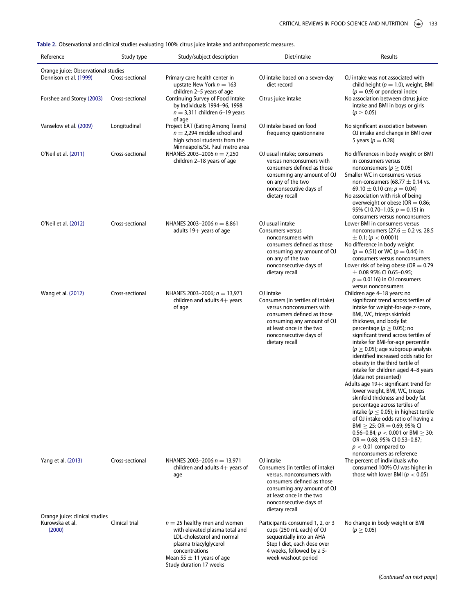<span id="page-5-0"></span>Table 2. Observational and clinical studies evaluating 100% citrus juice intake and anthropometric measures.

| Reference                                            | Study type      | Study/subject description                                                                                                                                                                              | Diet/intake                                                                                                                                                                                                     | Results                                                                                                                                                                                                                                                                                                                                                                                                                                                                                                                                                                                                                                                                                                                                                                                                                                                                                  |  |  |  |
|------------------------------------------------------|-----------------|--------------------------------------------------------------------------------------------------------------------------------------------------------------------------------------------------------|-----------------------------------------------------------------------------------------------------------------------------------------------------------------------------------------------------------------|------------------------------------------------------------------------------------------------------------------------------------------------------------------------------------------------------------------------------------------------------------------------------------------------------------------------------------------------------------------------------------------------------------------------------------------------------------------------------------------------------------------------------------------------------------------------------------------------------------------------------------------------------------------------------------------------------------------------------------------------------------------------------------------------------------------------------------------------------------------------------------------|--|--|--|
| Orange juice: Observational studies                  |                 |                                                                                                                                                                                                        |                                                                                                                                                                                                                 |                                                                                                                                                                                                                                                                                                                                                                                                                                                                                                                                                                                                                                                                                                                                                                                                                                                                                          |  |  |  |
| Dennison et al. (1999)                               | Cross-sectional | Primary care health center in<br>upstate New York $n = 163$<br>children 2-5 years of age                                                                                                               | OJ intake based on a seven-day<br>diet record                                                                                                                                                                   | OJ intake was not associated with<br>child height ( $p = 1.0$ ), weight, BMI<br>$(p = 0.9)$ or ponderal index<br>No association between citrus juice<br>intake and BMI in boys or girls<br>$(p \ge 0.05)$                                                                                                                                                                                                                                                                                                                                                                                                                                                                                                                                                                                                                                                                                |  |  |  |
| Forshee and Storey (2003)                            | Cross-sectional | Continuing Survey of Food Intake<br>by Individuals 1994-96, 1998<br>$n = 3,311$ children 6-19 years<br>of age                                                                                          | Citrus juice intake                                                                                                                                                                                             |                                                                                                                                                                                                                                                                                                                                                                                                                                                                                                                                                                                                                                                                                                                                                                                                                                                                                          |  |  |  |
| Vanselow et al. (2009)                               | Longitudinal    | Project EAT (Eating Among Teens)<br>$n = 2,294$ middle school and<br>high school students from the<br>Minneapolis/St. Paul metro area                                                                  | OJ intake based on food<br>frequency questionnaire                                                                                                                                                              | No significant association between<br>OJ intake and change in BMI over<br>5 years ( $p = 0.28$ )                                                                                                                                                                                                                                                                                                                                                                                                                                                                                                                                                                                                                                                                                                                                                                                         |  |  |  |
| O'Neil et al. (2011)                                 | Cross-sectional | NHANES 2003-2006 $n = 7,250$<br>children 2–18 years of age                                                                                                                                             | OJ usual intake; consumers<br>versus nonconsumers with<br>consumers defined as those<br>consuming any amount of OJ<br>on any of the two<br>nonconsecutive days of<br>dietary recall                             | No differences in body weight or BMI<br>in consumers versus<br>nonconsumers ( $p \geq 0.05$ )<br>Smaller WC in consumers versus<br>non-consumers (68.77 $\pm$ 0.14 vs.<br>69.10 $\pm$ 0.10 cm; $p = 0.04$ )<br>No association with risk of being<br>overweight or obese (OR = $0.86$ ;<br>95% CI 0.70-1.05; $p = 0.15$ ) in<br>consumers versus nonconsumers                                                                                                                                                                                                                                                                                                                                                                                                                                                                                                                             |  |  |  |
| O'Neil et al. (2012)                                 | Cross-sectional | NHANES 2003-2006 $n = 8,861$<br>adults $19+$ years of age                                                                                                                                              | OJ usual intake<br><b>Consumers versus</b><br>nonconsumers with<br>consumers defined as those<br>consuming any amount of OJ<br>on any of the two<br>nonconsecutive days of<br>dietary recall                    | Lower BMI in consumers versus<br>nonconsumers (27.6 $\pm$ 0.2 vs. 28.5<br>$\pm$ 0.1; ( $p < 0.0001$ )<br>No difference in body weight<br>$(p = 0.51)$ or WC $(p = 0.44)$ in<br>consumers versus nonconsumers<br>Lower risk of being obese (OR $= 0.79$<br>$\pm$ 0.08 95% CI 0.65-0.95;<br>$p = 0.0116$ ) in OJ consumers<br>versus nonconsumers                                                                                                                                                                                                                                                                                                                                                                                                                                                                                                                                          |  |  |  |
| Wang et al. (2012)                                   | Cross-sectional | NHANES 2003-2006; $n = 13,971$<br>children and adults $4+$ years<br>of age                                                                                                                             | OJ intake<br>Consumers (in tertiles of intake)<br>versus nonconsumers with<br>consumers defined as those<br>consuming any amount of OJ<br>at least once in the two<br>nonconsecutive days of<br>dietary recall  | Children age 4-18 years: no<br>significant trend across tertiles of<br>intake for weight-for-age z-score,<br>BMI, WC, triceps skinfold<br>thickness, and body fat<br>percentage ( $p \geq 0.05$ ); no<br>significant trend across tertiles of<br>intake for BMI-for-age percentile<br>( $p \geq 0.05$ ); age subgroup analysis<br>identified increased odds ratio for<br>obesity in the third tertile of<br>intake for children aged 4-8 years<br>(data not presented)<br>Adults age 19+: significant trend for<br>lower weight, BMI, WC, triceps<br>skinfold thickness and body fat<br>percentage across tertiles of<br>intake ( $p \leq 0.05$ ); in highest tertile<br>of OJ intake odds ratio of having a<br>$BMI \geq 25$ : OR = 0.69; 95% CI<br>0.56-0.84; $p < 0.001$ or BMI $\geq 30$ :<br>$OR = 0.68$ ; 95% CI 0.53-0.87;<br>$p < 0.01$ compared to<br>nonconsumers as reference |  |  |  |
| Yang et al. (2013)<br>Orange juice: clinical studies | Cross-sectional | NHANES 2003-2006 $n = 13,971$<br>children and adults $4+$ years of<br>age                                                                                                                              | OJ intake<br>Consumers (in tertiles of intake)<br>versus, nonconsumers with<br>consumers defined as those<br>consuming any amount of OJ<br>at least once in the two<br>nonconsecutive days of<br>dietary recall | The percent of individuals who<br>consumed 100% OJ was higher in<br>those with lower BMI ( $p < 0.05$ )                                                                                                                                                                                                                                                                                                                                                                                                                                                                                                                                                                                                                                                                                                                                                                                  |  |  |  |
| Kurowska et al.<br>(2000)                            | Clinical trial  | $n = 25$ healthy men and women<br>with elevated plasma total and<br>LDL-cholesterol and normal<br>plasma triacylglycerol<br>concentrations<br>Mean 55 $\pm$ 11 years of age<br>Study duration 17 weeks | Participants consumed 1, 2, or 3<br>cups (250 mL each) of OJ<br>sequentially into an AHA<br>Step I diet, each dose over<br>4 weeks, followed by a 5-<br>week washout period                                     | No change in body weight or BMI<br>$(p \ge 0.05)$                                                                                                                                                                                                                                                                                                                                                                                                                                                                                                                                                                                                                                                                                                                                                                                                                                        |  |  |  |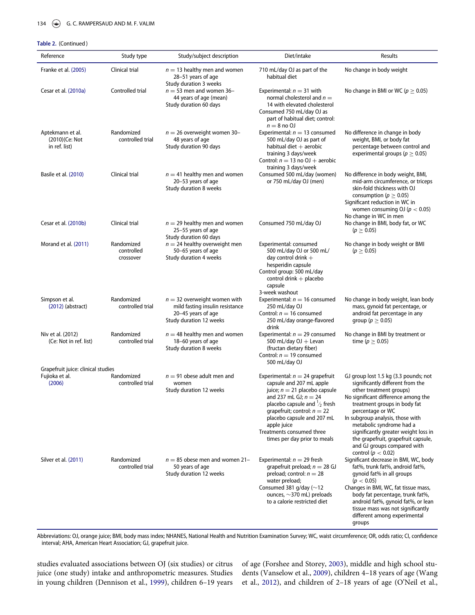#### Table 2. (Continued )

| Reference                                            | Study type                            | Study/subject description                                                                                          | Diet/intake                                                                                                                                                                                                                                                                  | Results                                                                                                                                                                                                                                                                                                                                                        |
|------------------------------------------------------|---------------------------------------|--------------------------------------------------------------------------------------------------------------------|------------------------------------------------------------------------------------------------------------------------------------------------------------------------------------------------------------------------------------------------------------------------------|----------------------------------------------------------------------------------------------------------------------------------------------------------------------------------------------------------------------------------------------------------------------------------------------------------------------------------------------------------------|
| Franke et al. (2005)                                 | Clinical trial                        | $n = 13$ healthy men and women<br>28-51 years of age<br>Study duration 3 weeks                                     | 710 mL/day OJ as part of the<br>habitual diet                                                                                                                                                                                                                                | No change in body weight                                                                                                                                                                                                                                                                                                                                       |
| Cesar et al. (2010a)                                 | Controlled trial                      | $n = 53$ men and women 36-<br>44 years of age (mean)<br>Study duration 60 days                                     | Experimental: $n = 31$ with<br>normal cholesterol and $n =$<br>14 with elevated cholesterol<br>Consumed 750 mL/day OJ as<br>part of habitual diet; control:<br>$n = 8$ no OJ                                                                                                 | No change in BMI or WC ( $p \geq 0.05$ )                                                                                                                                                                                                                                                                                                                       |
| Aptekmann et al.<br>(2010)(Ce: Not<br>in ref. list)  | Randomized<br>controlled trial        | $n = 26$ overweight women 30-<br>48 years of age<br>Study duration 90 days                                         | Experimental: $n = 13$ consumed<br>500 mL/day OJ as part of<br>habitual diet $+$ aerobic<br>training 3 days/week<br>Control: $n = 13$ no OJ + aerobic<br>training 3 days/week                                                                                                | No difference in change in body<br>weight, BMI, or body fat<br>percentage between control and<br>experimental groups ( $p \geq 0.05$ )                                                                                                                                                                                                                         |
| Basile et al. (2010)                                 | Clinical trial                        | $n = 41$ healthy men and women<br>20-53 years of age<br>Study duration 8 weeks                                     | Consumed 500 mL/day (women)<br>or 750 mL/day OJ (men)                                                                                                                                                                                                                        | No difference in body weight, BMI,<br>mid-arm circumference, or triceps<br>skin-fold thickness with OJ<br>consumption ( $p \geq 0.05$ )<br>Significant reduction in WC in<br>women consuming OJ ( $p < 0.05$ )<br>No change in WC in men                                                                                                                       |
| Cesar et al. (2010b)                                 | Clinical trial                        | $n = 29$ healthy men and women<br>25-55 years of age<br>Study duration 60 days                                     | Consumed 750 mL/day OJ                                                                                                                                                                                                                                                       | No change in BMI, body fat, or WC<br>$(p \ge 0.05)$                                                                                                                                                                                                                                                                                                            |
| Morand et al. (2011)                                 | Randomized<br>controlled<br>crossover | $n = 24$ healthy overweight men<br>50-65 years of age<br>Study duration 4 weeks                                    | Experimental: consumed<br>500 mL/day OJ or 500 mL/<br>day control drink $+$<br>hesperidin capsule<br>Control group: 500 mL/day<br>control drink + placebo<br>capsule<br>3-week washout                                                                                       | No change in body weight or BMI<br>$(p \ge 0.05)$                                                                                                                                                                                                                                                                                                              |
| Simpson et al.<br>$(2012)$ (abstract)                | Randomized<br>controlled trial        | $n = 32$ overweight women with<br>mild fasting insulin resistance<br>20-45 years of age<br>Study duration 12 weeks | Experimental: $n = 16$ consumed<br>250 mL/day OJ<br>Control: $n = 16$ consumed<br>250 mL/day orange-flavored<br>drink                                                                                                                                                        | No change in body weight, lean body<br>mass, gynoid fat percentage, or<br>android fat percentage in any<br>group ( $p \geq 0.05$ )                                                                                                                                                                                                                             |
| Niv et al. (2012)<br>(Ce: Not in ref. list)          | Randomized<br>controlled trial        | $n = 48$ healthy men and women<br>18-60 years of age<br>Study duration 8 weeks                                     | Experimental: $n = 29$ consumed<br>500 mL/day $OJ +$ Levan<br>(fructan dietary fiber)<br>Control: $n = 19$ consumed<br>500 mL/day OJ                                                                                                                                         | No change in BMI by treatment or<br>time ( $p \geq 0.05$ )                                                                                                                                                                                                                                                                                                     |
| Grapefruit juice: clinical studies<br>Fujioka et al. | Randomized                            | $n = 91$ obese adult men and                                                                                       | Experimental: $n = 24$ grapefruit                                                                                                                                                                                                                                            | GJ group lost 1.5 kg (3.3 pounds; not                                                                                                                                                                                                                                                                                                                          |
| (2006)                                               | controlled trial                      | women<br>Study duration 12 weeks                                                                                   | capsule and 207 mL apple<br>juice; $n = 21$ placebo capsule<br>and 237 mL GJ; $n = 24$<br>placebo capsule and $\frac{1}{2}$ fresh<br>qrapefruit; control: $n = 22$<br>placebo capsule and 207 mL<br>apple juice<br>Treatments consumed three<br>times per day prior to meals | significantly different from the<br>other treatment groups)<br>No significant difference among the<br>treatment groups in body fat<br>percentage or WC<br>In subgroup analysis, those with<br>metabolic syndrome had a<br>significantly greater weight loss in<br>the grapefruit, grapefruit capsule,<br>and GJ groups compared with<br>control ( $p < 0.02$ ) |
| Silver et al. (2011)                                 | Randomized<br>controlled trial        | $n = 85$ obese men and women 21–<br>50 years of age<br>Study duration 12 weeks                                     | Experimental: $n = 29$ fresh<br>grapefruit preload; $n = 28$ GJ<br>preload; control: $n = 28$<br>water preload;<br>Consumed 381 g/day ( $\sim$ 12<br>ounces, $\sim$ 370 mL) preloads<br>to a calorie restricted diet                                                         | Significant decrease in BMI, WC, body<br>fat%, trunk fat%, android fat%,<br>gynoid fat% in all groups<br>(p < 0.05)<br>Changes in BMI, WC, fat tissue mass,<br>body fat percentage, trunk fat%,<br>android fat%, gynoid fat%, or lean<br>tissue mass was not significantly<br>different among experimental<br>groups                                           |

Abbreviations: OJ, orange juice; BMI, body mass index; NHANES, National Health and Nutrition Examination Survey; WC, waist circumference; OR, odds ratio; CI, confidence interval; AHA, American Heart Association; GJ, grapefruit juice.

studies evaluated associations between OJ (six studies) or citrus juice (one study) intake and anthropometric measures. Studies in young children (Dennison et al., [1999](#page-9-19)), children 6–19 years

of age (Forshee and Storey, [2003\)](#page-10-29), middle and high school students (Vanselow et al., [2009\)](#page-11-17), children 4–18 years of age (Wang et al., [2012\)](#page-11-9), and children of 2–18 years of age (O'Neil et al.,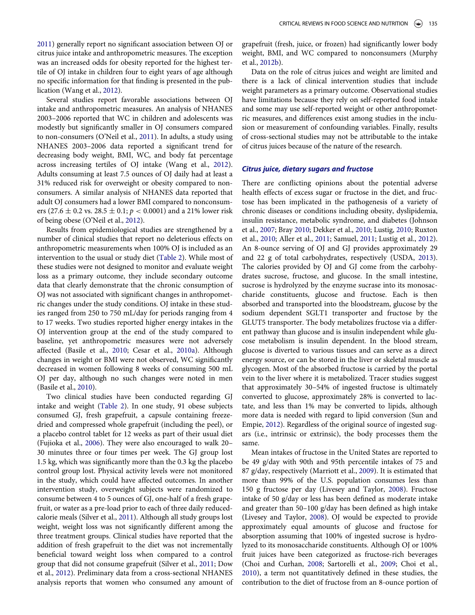[2011\)](#page-11-5) generally report no significant association between OJ or citrus juice intake and anthropometric measures. The exception was an increased odds for obesity reported for the highest tertile of OJ intake in children four to eight years of age although no specific information for that finding is presented in the publication (Wang et al., [2012\)](#page-11-9).

Several studies report favorable associations between OJ intake and anthropometric measures. An analysis of NHANES 2003–2006 reported that WC in children and adolescents was modestly but significantly smaller in OJ consumers compared to non-consumers (O'Neil et al., [2011\)](#page-11-5). In adults, a study using NHANES 2003–2006 data reported a significant trend for decreasing body weight, BMI, WC, and body fat percentage across increasing tertiles of OJ intake (Wang et al., [2012](#page-11-9)). Adults consuming at least 7.5 ounces of OJ daily had at least a 31% reduced risk for overweight or obesity compared to nonconsumers. A similar analysis of NHANES data reported that adult OJ consumers had a lower BMI compared to nonconsumers (27.6  $\pm$  0.2 vs. 28.5  $\pm$  0.1;  $p < 0.0001$ ) and a 21% lower risk of being obese (O'Neil et al., [2012\)](#page-11-7).

Results from epidemiological studies are strengthened by a number of clinical studies that report no deleterious effects on anthropometric measurements when 100% OJ is included as an intervention to the usual or study diet [\(Table 2\)](#page-5-0). While most of these studies were not designed to monitor and evaluate weight loss as a primary outcome, they include secondary outcome data that clearly demonstrate that the chronic consumption of OJ was not associated with significant changes in anthropometric changes under the study conditions. OJ intake in these studies ranged from 250 to 750 mL/day for periods ranging from 4 to 17 weeks. Two studies reported higher energy intakes in the OJ intervention group at the end of the study compared to baseline, yet anthropometric measures were not adversely affected (Basile et al., [2010;](#page-9-21) Cesar et al., [2010a](#page-9-20)). Although changes in weight or BMI were not observed, WC significantly decreased in women following 8 weeks of consuming 500 mL OJ per day, although no such changes were noted in men (Basile et al., [2010](#page-9-21)).

Two clinical studies have been conducted regarding GJ intake and weight [\(Table 2](#page-5-0)). In one study, 91 obese subjects consumed GJ, fresh grapefruit, a capsule containing freezedried and compressed whole grapefruit (including the peel), or a placebo control tablet for 12 weeks as part of their usual diet (Fujioka et al., [2006\)](#page-10-30). They were also encouraged to walk 20– 30 minutes three or four times per week. The GJ group lost 1.5 kg, which was significantly more than the 0.3 kg the placebo control group lost. Physical activity levels were not monitored in the study, which could have affected outcomes. In another intervention study, overweight subjects were randomized to consume between 4 to 5 ounces of GJ, one-half of a fresh grapefruit, or water as a pre-load prior to each of three daily reducedcalorie meals (Silver et al., [2011](#page-11-27)). Although all study groups lost weight, weight loss was not significantly different among the three treatment groups. Clinical studies have reported that the addition of fresh grapefruit to the diet was not incrementally beneficial toward weight loss when compared to a control group that did not consume grapefruit (Silver et al., [2011](#page-11-27); Dow et al., [2012](#page-9-23)). Preliminary data from a cross-sectional NHANES analysis reports that women who consumed any amount of grapefruit (fresh, juice, or frozen) had significantly lower body weight, BMI, and WC compared to nonconsumers (Murphy et al., [2012b](#page-11-28)).

Data on the role of citrus juices and weight are limited and there is a lack of clinical intervention studies that include weight parameters as a primary outcome. Observational studies have limitations because they rely on self-reported food intake and some may use self-reported weight or other anthropometric measures, and differences exist among studies in the inclusion or measurement of confounding variables. Finally, results of cross-sectional studies may not be attributable to the intake of citrus juices because of the nature of the research.

#### Citrus juice, dietary sugars and fructose

There are conflicting opinions about the potential adverse health effects of excess sugar or fructose in the diet, and fructose has been implicated in the pathogenesis of a variety of chronic diseases or conditions including obesity, dyslipidemia, insulin resistance, metabolic syndrome, and diabetes (Johnson et al., [2007](#page-10-31); Bray [2010;](#page-9-24) Dekker et al., [2010](#page-9-25); Lustig, [2010](#page-10-32); Ruxton et al., [2010](#page-11-29); Aller et al., [2011](#page-9-26); Samuel, [2011](#page-11-30); Lustig et al., [2012\)](#page-10-33). An 8-ounce serving of OJ and GJ provides approximately 29 and 22 g of total carbohydrates, respectively (USDA, [2013\)](#page-11-8). The calories provided by OJ and GJ come from the carbohydrates sucrose, fructose, and glucose. In the small intestine, sucrose is hydrolyzed by the enzyme sucrase into its monosaccharide constituents, glucose and fructose. Each is then absorbed and transported into the bloodstream, glucose by the sodium dependent SGLT1 transporter and fructose by the GLUT5 transporter. The body metabolizes fructose via a different pathway than glucose and is insulin independent while glucose metabolism is insulin dependent. In the blood stream, glucose is diverted to various tissues and can serve as a direct energy source, or can be stored in the liver or skeletal muscle as glycogen. Most of the absorbed fructose is carried by the portal vein to the liver where it is metabolized. Tracer studies suggest that approximately 30–54% of ingested fructose is ultimately converted to glucose, approximately 28% is converted to lactate, and less than 1% may be converted to lipids, although more data is needed with regard to lipid conversion (Sun and Empie, [2012\)](#page-11-31). Regardless of the original source of ingested sugars (i.e., intrinsic or extrinsic), the body processes them the same.

Mean intakes of fructose in the United States are reported to be 49 g/day with 90th and 95th percentile intakes of 75 and 87 g/day, respectively (Marriott et al., [2009](#page-10-34)). It is estimated that more than 99% of the U.S. population consumes less than 150 g fructose per day (Livesey and Taylor, [2008](#page-10-35)). Fructose intake of 50 g/day or less has been defined as moderate intake and greater than 50–100 g/day has been defined as high intake (Livesey and Taylor, [2008](#page-10-35)). OJ would be expected to provide approximately equal amounts of glucose and fructose for absorption assuming that 100% of ingested sucrose is hydrolyzed to its monosaccharide constituents. Although OJ or 100% fruit juices have been categorized as fructose-rich beverages (Choi and Curhan, [2008;](#page-9-27) Sartorelli et al., [2009](#page-11-32); Choi et al., [2010](#page-9-28)), a term not quantitatively defined in these studies, the contribution to the diet of fructose from an 8-ounce portion of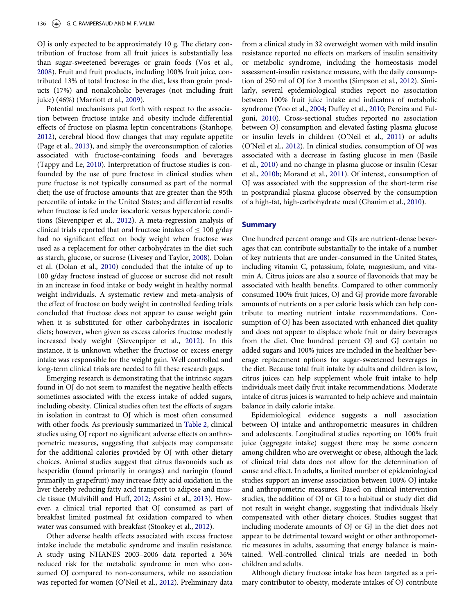OJ is only expected to be approximately 10 g. The dietary contribution of fructose from all fruit juices is substantially less than sugar-sweetened beverages or grain foods (Vos et al., [2008\)](#page-11-33). Fruit and fruit products, including 100% fruit juice, contributed 13% of total fructose in the diet, less than grain products (17%) and nonalcoholic beverages (not including fruit juice) (46%) (Marriott et al., [2009\)](#page-10-34).

Potential mechanisms put forth with respect to the association between fructose intake and obesity include differential effects of fructose on plasma leptin concentrations (Stanhope, [2012\)](#page-11-34), cerebral blood flow changes that may regulate appetite (Page et al., [2013\)](#page-11-35), and simply the overconsumption of calories associated with fructose-containing foods and beverages (Tappy and Le, [2010\)](#page-11-36). Interpretation of fructose studies is confounded by the use of pure fructose in clinical studies when pure fructose is not typically consumed as part of the normal diet; the use of fructose amounts that are greater than the 95th percentile of intake in the United States; and differential results when fructose is fed under isocaloric versus hypercaloric conditions (Sievenpiper et al., [2012\)](#page-11-37). A meta-regression analysis of clinical trials reported that oral fructose intakes of  $\leq 100$  g/day had no significant effect on body weight when fructose was used as a replacement for other carbohydrates in the diet such as starch, glucose, or sucrose (Livesey and Taylor, [2008](#page-10-35)). Dolan et al. (Dolan et al., [2010](#page-9-29)) concluded that the intake of up to 100 g/day fructose instead of glucose or sucrose did not result in an increase in food intake or body weight in healthy normal weight individuals. A systematic review and meta-analysis of the effect of fructose on body weight in controlled feeding trials concluded that fructose does not appear to cause weight gain when it is substituted for other carbohydrates in isocaloric diets; however, when given as excess calories fructose modestly increased body weight (Sievenpiper et al., [2012](#page-11-37)). In this instance, it is unknown whether the fructose or excess energy intake was responsible for the weight gain. Well controlled and long-term clinical trials are needed to fill these research gaps.

Emerging research is demonstrating that the intrinsic sugars found in OJ do not seem to manifest the negative health effects sometimes associated with the excess intake of added sugars, including obesity. Clinical studies often test the effects of sugars in isolation in contrast to OJ which is most often consumed with other foods. As previously summarized in [Table 2,](#page-5-0) clinical studies using OJ report no significant adverse effects on anthropometric measures, suggesting that subjects may compensate for the additional calories provided by OJ with other dietary choices. Animal studies suggest that citrus flavonoids such as hesperidin (found primarily in oranges) and naringin (found primarily in grapefruit) may increase fatty acid oxidation in the liver thereby reducing fatty acid transport to adipose and muscle tissue (Mulvihill and Huff, [2012](#page-10-36); Assini et al., [2013](#page-9-30)). However, a clinical trial reported that OJ consumed as part of breakfast limited postmeal fat oxidation compared to when water was consumed with breakfast (Stookey et al., [2012](#page-11-38)).

Other adverse health effects associated with excess fructose intake include the metabolic syndrome and insulin resistance. A study using NHANES 2003–2006 data reported a 36% reduced risk for the metabolic syndrome in men who consumed OJ compared to non-consumers, while no association was reported for women (O'Neil et al., [2012\)](#page-11-7). Preliminary data

from a clinical study in 32 overweight women with mild insulin resistance reported no effects on markers of insulin sensitivity or metabolic syndrome, including the homeostasis model assessment-insulin resistance measure, with the daily consumption of 250 ml of OJ for 3 months (Simpson et al., [2012](#page-11-26)). Similarly, several epidemiological studies report no association between 100% fruit juice intake and indicators of metabolic syndrome (Yoo et al., [2004;](#page-12-3) Duffey et al., [2010](#page-9-31); Pereira and Fulgoni, [2010](#page-11-21)). Cross-sectional studies reported no association between OJ consumption and elevated fasting plasma glucose or insulin levels in children (O'Neil et al., [2011](#page-11-5)) or adults (O'Neil et al., [2012](#page-11-7)). In clinical studies, consumption of OJ was associated with a decrease in fasting glucose in men (Basile et al., [2010](#page-9-21)) and no change in plasma glucose or insulin (Cesar et al., [2010b](#page-9-22); Morand et al., [2011](#page-10-9)). Of interest, consumption of OJ was associated with the suppression of the short-term rise in postprandial plasma glucose observed by the consumption of a high-fat, high-carbohydrate meal (Ghanim et al., [2010\)](#page-10-37).

#### **Summary**

One hundred percent orange and GJs are nutrient-dense beverages that can contribute substantially to the intake of a number of key nutrients that are under-consumed in the United States, including vitamin C, potassium, folate, magnesium, and vitamin A. Citrus juices are also a source of flavonoids that may be associated with health benefits. Compared to other commonly consumed 100% fruit juices, OJ and GJ provide more favorable amounts of nutrients on a per calorie basis which can help contribute to meeting nutrient intake recommendations. Consumption of OJ has been associated with enhanced diet quality and does not appear to displace whole fruit or dairy beverages from the diet. One hundred percent OJ and GJ contain no added sugars and 100% juices are included in the healthier beverage replacement options for sugar-sweetened beverages in the diet. Because total fruit intake by adults and children is low, citrus juices can help supplement whole fruit intake to help individuals meet daily fruit intake recommendations. Moderate intake of citrus juices is warranted to help achieve and maintain balance in daily calorie intake.

Epidemiological evidence suggests a null association between OJ intake and anthropometric measures in children and adolescents. Longitudinal studies reporting on 100% fruit juice (aggregate intake) suggest there may be some concern among children who are overweight or obese, although the lack of clinical trial data does not allow for the determination of cause and effect. In adults, a limited number of epidemiological studies support an inverse association between 100% OJ intake and anthropometric measures. Based on clinical intervention studies, the addition of OJ or GJ to a habitual or study diet did not result in weight change, suggesting that individuals likely compensated with other dietary choices. Studies suggest that including moderate amounts of OJ or GJ in the diet does not appear to be detrimental toward weight or other anthropometric measures in adults, assuming that energy balance is maintained. Well-controlled clinical trials are needed in both children and adults.

Although dietary fructose intake has been targeted as a primary contributor to obesity, moderate intakes of OJ contribute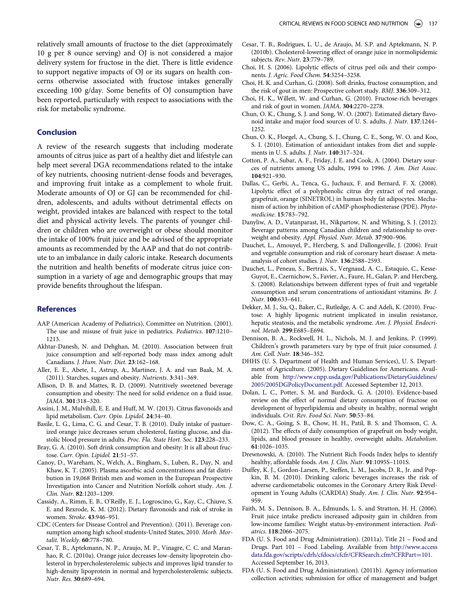<span id="page-9-27"></span><span id="page-9-22"></span><span id="page-9-16"></span>relatively small amounts of fructose to the diet (approximately 10 g per 8 ounce serving) and OJ is not considered a major delivery system for fructose in the diet. There is little evidence to support negative impacts of OJ or its sugars on health concerns otherwise associated with fructose intakes generally exceeding 100 g/day. Some benefits of OJ consumption have been reported, particularly with respect to associations with the risk for metabolic syndrome.

### <span id="page-9-28"></span><span id="page-9-8"></span><span id="page-9-0"></span>Conclusion

<span id="page-9-17"></span><span id="page-9-14"></span><span id="page-9-7"></span>A review of the research suggests that including moderate amounts of citrus juice as part of a healthy diet and lifestyle can help meet several DGA recommendations related to the intake of key nutrients, choosing nutrient-dense foods and beverages, and improving fruit intake as a complement to whole fruit. Moderate amounts of OJ or GJ can be recommended for children, adolescents, and adults without detrimental effects on weight, provided intakes are balanced with respect to the total diet and physical activity levels. The parents of younger children or children who are overweight or obese should monitor the intake of 100% fruit juice and be advised of the appropriate amounts as recommended by the AAP and that do not contribute to an imbalance in daily caloric intake. Research documents the nutrition and health benefits of moderate citrus juice consumption in a variety of age and demographic groups that may provide benefits throughout the lifespan.

#### <span id="page-9-25"></span><span id="page-9-11"></span><span id="page-9-9"></span>References

- <span id="page-9-12"></span>AAP (American Academy of Pediatrics), Committee on Nutrition. (2001). The use and misuse of fruit juice in pediatrics. Pediatrics. 107:1210– 1213.
- <span id="page-9-19"></span><span id="page-9-15"></span>Akhtar-Danesh, N. and Dehghan, M. (2010). Association between fruit juice consumption and self-reported body mass index among adult Canadians. J. Hum. Nutr. Diet. 23:162–168.
- <span id="page-9-26"></span><span id="page-9-4"></span>Aller, E. E., Abete, I., Astrup, A., Martinez, J. A. and van Baak, M. A. (2011). Starches, sugars and obesity. Nutrients. 3:341–369.
- <span id="page-9-29"></span><span id="page-9-3"></span>Allison, D. B. and Mattes, R. D. (2009). Nutritively sweetened beverage consumption and obesity: The need for solid evidence on a fluid issue. JAMA. 301:318–320.
- <span id="page-9-30"></span>Assini, J. M., Mulvihill, E. E. and Huff, M. W. (2013). Citrus flavonoids and lipid metabolism. Curr. Opin. Lipidol. 24:34–40.
- <span id="page-9-23"></span><span id="page-9-21"></span>Basile, L. G., Lima, C. G. and Cesar, T. B. (2010). Daily intake of pastuerized orange juice decreases serum cholesterol, fasting glucose, and diastolic blood pressure in adults. Proc. Fla. State Hort. Soc. 123:228–233.
- <span id="page-9-24"></span><span id="page-9-10"></span>Bray, G. A. (2010). Soft drink consumption and obesity: It is all about fructose. Curr. Opin. Lipidol. 21:51–57.
- <span id="page-9-31"></span><span id="page-9-18"></span>Canoy, D., Wareham, N., Welch, A., Bingham, S., Luben, R., Day, N. and Khaw, K. T. (2005). Plasma ascorbic acid concentrations and fat distribution in 19,068 British men and women in the European Prospective Investigation into Cancer and Nutrition Norfolk cohort study. Am. J. Clin. Nutr. 82:1203–1209.
- <span id="page-9-13"></span><span id="page-9-1"></span>Cassidy, A., Rimm, E. B., O'Reilly, E. J., Logroscino, G., Kay, C., Chiuve, S. E. and Rexrode, K. M. (2012). Dietary flavonoids and risk of stroke in women. Stroke. 43:946–951.
- <span id="page-9-6"></span>CDC (Centers for Disease Control and Prevention). (2011). Beverage consumption among high school students-United States, 2010. Morb. Mortalit. Weekly. 60:778–780.
- <span id="page-9-20"></span><span id="page-9-5"></span><span id="page-9-2"></span>Cesar, T. B., Aptekmann, N. P., Araujo, M. P., Vinagre, C. C. and Maranhao, R. C. (2010a). Orange juice decreases low-density lipoprotein cholesterol in hypercholesterolemic subjects and improves lipid transfer to high-density lipoprotein in normal and hypercholesterolemic subjects. Nutr. Res. 30:689–694.
- Cesar, T. B., Rodrigues, L. U., de Araujo, M. S.P. and Aptekmann, N. P. (2010b). Cholesterol-lowering effect of orange juice in normolipidemic subjects. Rev. Nutr. 23:779–789.
- Choi, H. S. (2006). Lipolytic effects of citrus peel oils and their components. J. Agric. Food Chem. 54:3254–3258.
- Choi, H. K. and Curhan, G. (2008). Soft drinks, fructose consumption, and the risk of gout in men: Prospective cohort study. BMJ. 336:309–312.
- Choi, H. K., Willett, W. and Curhan, G. (2010). Fructose-rich beverages and risk of gout in women. JAMA. 304:2270–2278.
- Chun, O. K., Chung, S. J. and Song, W. O. (2007). Estimated dietary flavonoid intake and major food sources of U. S. adults. J. Nutr. 137:1244– 1252.
- Chun, O. K., Floegel, A., Chung, S. J., Chung, C. E., Song, W. O. and Koo, S. I. (2010). Estimation of antioxidant intakes from diet and supplements in U. S. adults. J. Nutr. 140:317–324.
- Cotton, P. A., Subar, A. F., Friday, J. E. and Cook, A. (2004). Dietary sources of nutrients among US adults, 1994 to 1996. J. Am. Diet Assoc. 104:921–930.
- Dallas, C., Gerbi, A., Tenca, G., Juchaux, F. and Bernard, F. X. (2008). Lipolytic effect of a polyphenolic citrus dry extract of red orange, grapefruit, orange (SINETROL) in human body fat adipocytes. Mechanism of action by inhibition of cAMP-phosphodiesterase (PDE). Phytomedicine. 15:783–792.
- Danyliw, A. D., Vatanparast, H., Nikpartow, N. and Whiting, S. J. (2012). Beverage patterns among Canadian children and relationship to overweight and obesity. Appl. Physiol. Nutr. Metab. 37:900–906.
- Dauchet, L., Amouyel, P., Hercberg, S. and Dallongeville, J. (2006). Fruit and vegetable consumption and risk of coronary heart disease: A metaanalysis of cohort studies. J. Nutr. 136:2588–2593.
- Dauchet, L., Peneau, S., Bertrais, S., Vergnaud, A. C., Estaquio, C., Kesse-Guyot, E., Czernichow, S., Favier, A., Faure, H., Galan, P. and Hercberg, S. (2008). Relationships between different types of fruit and vegetable consumption and serum concentrations of antioxidant vitamins. Br. J. Nutr. 100:633–641.
- Dekker, M. J., Su, Q., Baker, C., Rutledge, A. C. and Adeli, K. (2010). Fructose: A highly lipogenic nutrient implicated in insulin resistance, hepatic steatosis, and the metabolic syndrome. Am. J. Physiol. Endocrinol. Metab. 299:E685–E694.
- Dennison, B. A., Rockwell, H. L., Nichols, M. J. and Jenkins, P. (1999). Children's growth parameters vary by type of fruit juice consumed. J. Am. Coll. Nutr. 18:346–352.
- DHHS (U. S. Department of Health and Human Services), U. S. Department of Agriculture. (2005). Dietary Guidelines for Americans. Available from [http://www.cnpp.usda.gov/Publications/DietaryGuidelines/](http://www.cnpp.usda.gov/Publications/DietaryGuidelines/2005/2005DGPolicyDocument.pdf) [2005/2005DGPolicyDocument.pdf](http://www.cnpp.usda.gov/Publications/DietaryGuidelines/2005/2005DGPolicyDocument.pdf). Accessed September 12, 2013.
- Dolan, L. C., Potter, S. M. and Burdock, G. A. (2010). Evidence-based review on the effect of normal dietary consumption of fructose on development of hyperlipidemia and obesity in healthy, normal weight individuals. Crit. Rev. Food Sci. Nutr. 50:53–84.
- Dow, C. A., Going, S. B., Chow, H. H., Patil, B. S. and Thomson, C. A. (2012). The effects of daily consumption of grapefruit on body weight, lipids, and blood pressure in healthy, overweight adults. Metabolism. 61:1026–1035.
- Drewnowski, A. (2010). The Nutrient Rich Foods Index helps to identify healthy, affordable foods. Am. J. Clin. Nutr. 91:1095S-1101S.
- Duffey, K. J., Gordon-Larsen, P., Steffen, L. M., Jacobs, D. R., Jr. and Popkin, B. M. (2010). Drinking caloric beverages increases the risk of adverse cardiometabolic outcomes in the Coronary Artery Risk Development in Young Adults (CARDIA) Study. Am. J. Clin. Nutr. 92:954– 959.
- Faith, M. S., Dennison, B. A., Edmunds, L. S. and Stratton, H. H. (2006). Fruit juice intake predicts increased adiposity gain in children from low-income families: Weight status-by-environment interaction. Pediatrics. 118:2066–2075.
- FDA (U. S. Food and Drug Administration). (2011a). Title 21 Food and Drugs. Part 101 – Food Labeling. Available from [http://www.access](http://www.accessdata.fda.gov/scripts/cdrh/cfdocs/cfcfr/CFRSearch.cfm?CFRPart=101) [data.fda.gov/scripts/cdrh/cfdocs/cfcfr/CFRSearch.cfm?CFRPart](http://www.accessdata.fda.gov/scripts/cdrh/cfdocs/cfcfr/CFRSearch.cfm?CFRPart=101)=[101.](http://www.accessdata.fda.gov/scripts/cdrh/cfdocs/cfcfr/CFRSearch.cfm?CFRPart=101) Accessed September 16, 2013.
- FDA (U. S. Food and Drug Administration). (2011b). Agency information collection activities; submission for office of management and budget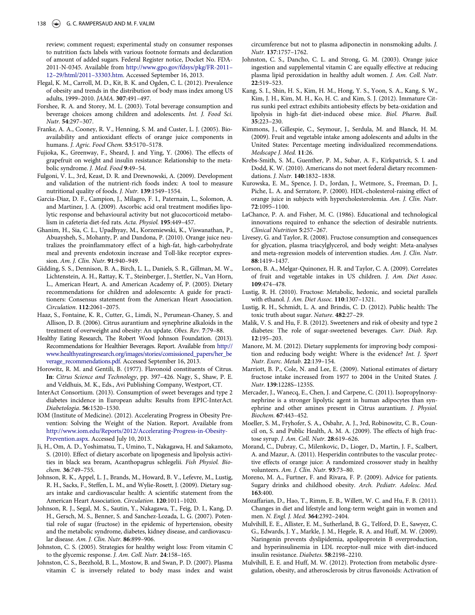<span id="page-10-7"></span>review; comment request; experimental study on consumer responses to nutrition facts labels with various footnote formats and declaration of amount of added sugars. Federal Register notice, Docket No. FDA-2011-N-0345. Available from [http://www.gpo.gov/fdsys/pkg/FR-2011](http://www.gpo.gov/fdsys/pkg/FR-2011--12--29/html/2011--33303.htm)– 12–[29/html/2011](http://www.gpo.gov/fdsys/pkg/FR-2011--12--29/html/2011--33303.htm)–33303.htm. Accessed September 16, 2013.

- <span id="page-10-20"></span><span id="page-10-15"></span>Flegal, K. M., Carroll, M. D., Kit, B. K. and Ogden, C. L. (2012). Prevalence of obesity and trends in the distribution of body mass index among US adults, 1999–2010. JAMA. 307:491–497.
- <span id="page-10-29"></span>Forshee, R. A. and Storey, M. L. (2003). Total beverage consumption and beverage choices among children and adolescents. Int. J. Food Sci. Nutr. 54:297–307.
- <span id="page-10-13"></span><span id="page-10-8"></span>Franke, A. A., Cooney, R. V., Henning, S. M. and Custer, L. J. (2005). Bioavailability and antioxidant effects of orange juice components in humans. J. Agric. Food Chem. 53:5170–5178.
- <span id="page-10-30"></span><span id="page-10-12"></span>Fujioka, K., Greenway, F., Sheard, J. and Ying, Y. (2006). The effects of grapefruit on weight and insulin resistance: Relationship to the metabolic syndrome. J. Med. Food 9:49–54.
- <span id="page-10-11"></span><span id="page-10-6"></span>Fulgoni, V. L., 3rd, Keast, D. R. and Drewnowski, A. (2009). Development and validation of the nutrient-rich foods index: A tool to measure nutritional quality of foods. J. Nutr. 139:1549–1554.
- <span id="page-10-25"></span><span id="page-10-10"></span>Garcia-Diaz, D. F., Campion, J., Milagro, F. I., Paternain, L., Solomon, A. and Martinez, J. A. (2009). Ascorbic acid oral treatment modifies lipolytic response and behavioural activity but not glucocorticoid metabolism in cafeteria diet-fed rats. Acta. Physiol. 195:449–457.
- <span id="page-10-37"></span><span id="page-10-35"></span>Ghanim, H., Sia, C. L., Upadhyay, M., Korzeniewski, K., Viswanathan, P., Abuaysheh, S., Mohanty, P. and Dandona, P. (2010). Orange juice neutralizes the proinflammatory effect of a high-fat, high-carbohydrate meal and prevents endotoxin increase and Toll-like receptor expression. Am. J. Clin. Nutr. 91:940–949.
- <span id="page-10-32"></span><span id="page-10-16"></span><span id="page-10-14"></span>Gidding, S. S., Dennison, B. A., Birch, L. L., Daniels, S. R., Gillman, M. W., Lichtenstein, A. H., Rattay, K. T., Steinberger, J., Stettler, N., Van Horn, L., American Heart, A. and American Academy of, P. (2005). Dietary recommendations for children and adolescents: A guide for practitioners: Consensus statement from the American Heart Association. Circulation. 112:2061–2075.
- <span id="page-10-33"></span><span id="page-10-24"></span><span id="page-10-5"></span>Haaz, S., Fontaine, K. R., Cutter, G., Limdi, N., Perumean-Chaney, S. and Allison, D. B. (2006). Citrus aurantium and synephrine alkaloids in the treatment of overweight and obesity: An update. Obes. Rev. 7:79–88.
- <span id="page-10-22"></span><span id="page-10-17"></span>Healthy Eating Research, The Robert Wood Johnson Foundation. (2013). Recommendations for Healthier Beverages. Report. Available from [http://](http://www.healthyeatingresearch.org/images/stories/comissioned_papers/her_beverage_recommendations.pdf) [www.healthyeatingresearch.org/images/stories/comissioned\\_papers/her\\_be](http://www.healthyeatingresearch.org/images/stories/comissioned_papers/her_beverage_recommendations.pdf) [verage\\_recommendations.pdf.](http://www.healthyeatingresearch.org/images/stories/comissioned_papers/her_beverage_recommendations.pdf) Accessed September 16, 2013.
- <span id="page-10-34"></span><span id="page-10-0"></span>Horowitz, R. M. and Gentili, B. (1977). Flavonoid constituents of Citrus. In: Citrus Science and Technology, pp. 397–426. Nagy, S., Shaw, P. E. and Veldhuis, M. K., Eds., Avi Publishing Company, Westport, CT.
- <span id="page-10-23"></span><span id="page-10-19"></span>InterAct Consortium. (2013). Consumption of sweet beverages and type 2 diabetes incidence in European adults: Results from EPIC-InterAct. Diabetologia. 56:1520–1530.
- <span id="page-10-3"></span><span id="page-10-1"></span>IOM (Institute of Medicine). (2012). Accelerating Progress in Obesity Prevention: Solving the Weight of the Nation. Report. Available from [http://www.iom.edu/Reports/2012/Accelerating-Progress-in-Obesity-](http://www.iom.edu/Reports/2012/Accelerating-Progress-in-Obesity-Prevention.aspx)[Prevention.aspx.](http://www.iom.edu/Reports/2012/Accelerating-Progress-in-Obesity-Prevention.aspx) Accessed July 10, 2013.
- <span id="page-10-26"></span><span id="page-10-9"></span>Ji, H., Om, A. D., Yoshimatsu, T., Umino, T., Nakagawa, H. and Sakamoto, S. (2010). Effect of dietary ascorbate on lipogenesis and lipolysis activities in black sea bream, Acanthopagrus schlegelii. Fish Physiol. Biochem. 36:749–755.
- <span id="page-10-4"></span><span id="page-10-2"></span>Johnson, R. K., Appel, L. J., Brands, M., Howard, B. V., Lefevre, M., Lustig, R. H., Sacks, F., Steffen, L. M., and Wylie-Rosett, J. (2009). Dietary sugars intake and cardiovascular health: A scientific statement from the American Heart Association. Circulation. 120:1011–1020.
- <span id="page-10-31"></span><span id="page-10-21"></span><span id="page-10-18"></span>Johnson, R. J., Segal, M. S., Sautin, Y., Nakagawa, T., Feig, D. I., Kang, D. H., Gersch, M. S., Benner, S. and Sanchez-Lozada, L. G. (2007). Potential role of sugar (fructose) in the epidemic of hypertension, obesity and the metabolic syndrome, diabetes, kidney disease, and cardiovascular disease. Am. J. Clin. Nutr. 86:899–906.
- <span id="page-10-27"></span>Johnston, C. S. (2005). Strategies for healthy weight loss: From vitamin C to the glycemic response. J. Am. Coll. Nutr. 24:158–165.
- <span id="page-10-36"></span><span id="page-10-28"></span>Johnston, C. S., Beezhold, B. L., Mostow, B. and Swan, P. D. (2007). Plasma vitamin C is inversely related to body mass index and waist

circumference but not to plasma adiponectin in nonsmoking adults. J. Nutr. 137:1757–1762.

- Johnston, C. S., Dancho, C. L. and Strong, G. M. (2003). Orange juice ingestion and supplemental vitamin C are equally effective at reducing plasma lipid peroxidation in healthy adult women. J. Am. Coll. Nutr. 22:519–523.
- Kang, S. I., Shin, H. S., Kim, H. M., Hong, Y. S., Yoon, S. A., Kang, S. W., Kim, J. H., Kim, M. H., Ko, H. C. and Kim, S. J. (2012). Immature Citrus sunki peel extract exhibits antiobesity effects by beta-oxidation and lipolysis in high-fat diet-induced obese mice. Biol. Pharm. Bull. 35:223–230.
- Kimmons, J., Gillespie, C., Seymour, J., Serdula, M. and Blanck, H. M. (2009). Fruit and vegetable intake among adolescents and adults in the United States: Percentage meeting individualized recommendations. Medscape J. Med. 11:26.
- Krebs-Smith, S. M., Guenther, P. M., Subar, A. F., Kirkpatrick, S. I. and Dodd, K. W. (2010). Americans do not meet federal dietary recommendations. J. Nutr. 140:1832–1838.
- Kurowska, E. M., Spence, J. D., Jordan, J., Wetmore, S., Freeman, D. J., Piche, L. A. and Serratore, P. (2000). HDL-cholesterol-raising effect of orange juice in subjects with hypercholesterolemia. Am. J. Clin. Nutr. 72:1095–1100.
- LaChance, P. A. and Fisher, M. C. (1986). Educational and technological innovations required to enhance the selection of desirable nutrients. Clinical Nutrition 5:257–267.
- Livesey, G. and Taylor, R. (2008). Fructose consumption and consequences for glycation, plasma triacylglycerol, and body weight: Meta-analyses and meta-regression models of intervention studies. Am. J. Clin. Nutr. 88:1419–1437.
- Lorson, B. A., Melgar-Quinonez, H. R. and Taylor, C. A. (2009). Correlates of fruit and vegetable intakes in US children. J. Am. Diet Assoc. 109:474–478.
- Lustig, R. H. (2010). Fructose: Metabolic, hedonic, and societal parallels with ethanol. J. Am. Diet Assoc. 110:1307–1321.
- Lustig, R. H., Schmidt, L. A. and Brindis, C. D. (2012). Public health: The toxic truth about sugar. Nature. 482:27–29.
- Malik, V. S. and Hu, F. B. (2012). Sweeteners and risk of obesity and type 2 diabetes: The role of sugar-sweetened beverages. Curr. Diab. Rep. 12:195–203.
- Manore, M. M. (2012). Dietary supplements for improving body composition and reducing body weight: Where is the evidence? Int. J. Sport Nutr. Exerc. Metab. 22:139–154.
- Marriott, B. P., Cole, N. and Lee, E. (2009). National estimates of dietary fructose intake increased from 1977 to 2004 in the United States. J. Nutr. 139:1228S–1235S.
- Mercader, J., Wanecq, E., Chen, J. and Carpene, C. (2011). Isopropylnorsynephrine is a stronger lipolytic agent in human adipocytes than synephrine and other amines present in Citrus aurantium. J. Physiol. Biochem. 67:443–452.
- Moeller, S. M., Fryhofer, S. A., Osbahr, A. J., 3rd, Robinowitz, C. B., Council on, S. and Public Health, A. M. A. (2009). The effects of high fructose syrup. J. Am. Coll. Nutr. 28:619–626.
- Morand, C., Dubray, C., Milenkovic, D., Lioger, D., Martin, J. F., Scalbert, A. and Mazur, A. (2011). Hesperidin contributes to the vascular protective effects of orange juice: A randomized crossover study in healthy volunteers. Am. J. Clin. Nutr. 93:73-80.
- Moreno, M. A., Furtner, F. and Rivara, F. P. (2009). Advice for patients. Sugary drinks and childhood obesity. Arch. Pediatr. Adolesc. Med. 163:400.
- Mozaffarian, D., Hao, T., Rimm, E. B., Willett, W. C. and Hu, F. B. (2011). Changes in diet and lifestyle and long-term weight gain in women and men. N. Engl. J. Med. 364:2392–2404.
- Mulvihill, E. E., Allister, E. M., Sutherland, B. G., Telford, D. E., Sawyez, C. G., Edwards, J. Y., Markle, J. M., Hegele, R. A. and Huff, M. W. (2009). Naringenin prevents dyslipidemia, apolipoprotein B overproduction, and hyperinsulinemia in LDL receptor-null mice with diet-induced insulin resistance. Diabetes. 58:2198–2210.
- Mulvihill, E. E. and Huff, M. W. (2012). Protection from metabolic dysregulation, obesity, and atherosclerosis by citrus flavonoids: Activation of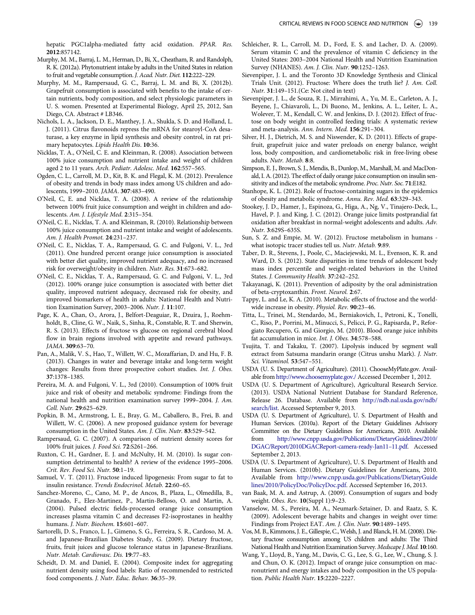hepatic PGC1alpha-mediated fatty acid oxidation. PPAR. Res. 2012:857142.

- <span id="page-11-4"></span><span id="page-11-0"></span>Murphy, M. M., Barraj, L. M., Herman, D., Bi, X., Cheatham, R. and Randolph, R. K. (2012a). Phytonutrient intake by adults in the United States in relation to fruit and vegetable consumption. J. Acad. Nutr. Diet. 112:222–229.
- <span id="page-11-37"></span><span id="page-11-28"></span>Murphy, M. M., Rampersaud, G. C., Barraj, L. M. and Bi, X. (2012b). Grapefruit consumption is associated with benefits to the intake of certain nutrients, body composition, and select physiologic parameters in U. S. women. Presented at Experimental Biology, April 25, 2012, San Diego, CA. Abstract # LB346.
- <span id="page-11-27"></span><span id="page-11-25"></span>Nichols, L. A., Jackson, D. E., Manthey, J. A., Shukla, S. D. and Holland, L. J. (2011). Citrus flavonoids repress the mRNA for stearoyl-CoA desaturase, a key enzyme in lipid synthesis and obesity control, in rat primary hepatocytes. Lipids Health Dis. 10:36.
- <span id="page-11-16"></span>Nicklas, T. A., O'Neil, C. E. and Kleinman, R. (2008). Association between 100% juice consumption and nutrient intake and weight of children aged 2 to 11 years. Arch. Pediatr. Adolesc. Med. 162:557–565.
- <span id="page-11-26"></span><span id="page-11-13"></span>Ogden, C. L., Carroll, M. D., Kit, B. K. and Flegal, K. M. (2012). Prevalence of obesity and trends in body mass index among US children and adolescents, 1999–2010. JAMA. 307:483–490.
- <span id="page-11-38"></span><span id="page-11-34"></span><span id="page-11-15"></span>O'Neil, C, E. and Nicklas, T. A. (2008). A review of the relationship between 100% fruit juice consumption and weight in children and adolescents. Am. J. Lifestyle Med. 2:315–354.
- <span id="page-11-18"></span>O'Neil, C. E., Nicklas, T. A. and Kleinman, R. (2010). Relationship between 100% juice consumption and nutrient intake and weight of adolescents. Am. J. Health Promot. 24:231–237.
- <span id="page-11-31"></span><span id="page-11-19"></span><span id="page-11-5"></span>O'Neil, C. E., Nicklas, T. A., Rampersaud, G. C. and Fulgoni, V. L., 3rd (2011). One hundred percent orange juice consumption is associated with better diet quality, improved nutrient adequacy, and no increased risk for overweight/obesity in children. Nutr. Res. 31:673–682.
- <span id="page-11-24"></span><span id="page-11-7"></span>O'Neil, C. E., Nicklas, T. A., Rampersaud, G. C. and Fulgoni, V. L., 3rd (2012). 100% orange juice consumption is associated with better diet quality, improved nutrient adequacy, decreased risk for obesity, and improved biomarkers of health in adults: National Health and Nutrition Examination Survey, 2003–2006. Nutr. J. 11:107.
- <span id="page-11-36"></span><span id="page-11-35"></span><span id="page-11-23"></span>Page, K. A., Chan, O., Arora, J., Belfort-Deaguiar, R., Dzuira, J., Roehmholdt, B., Cline, G. W., Naik, S., Sinha, R., Constable, R. T. and Sherwin, R. S. (2013). Effects of fructose vs glucose on regional cerebral blood flow in brain regions involved with appetite and reward pathways. JAMA. 309:63–70.
- <span id="page-11-22"></span><span id="page-11-20"></span><span id="page-11-12"></span>Pan, A., Malik, V. S., Hao, T., Willett, W. C., Mozaffarian, D. and Hu, F. B. (2013). Changes in water and beverage intake and long-term weight changes: Results from three prospective cohort studies. Int. J. Obes. 37:1378–1385.
- <span id="page-11-21"></span><span id="page-11-8"></span>Pereira, M. A. and Fulgoni, V. L., 3rd (2010). Consumption of 100% fruit juice and risk of obesity and metabolic syndrome: Findings from the national health and nutrition examination survey 1999–2004. J. Am. Coll. Nutr. 29:625–629.
- <span id="page-11-14"></span><span id="page-11-1"></span>Popkin, B. M., Armstrong, L. E., Bray, G. M., Caballero, B., Frei, B. and Willett, W. C. (2006). A new proposed guidance system for beverage consumption in the United States. Am. J. Clin. Nutr. 83:529–542.
- <span id="page-11-11"></span>Rampersaud, G. C. (2007). A comparison of nutrient density scores for 100% fruit juices. J. Food Sci. 72:S261–266.
- <span id="page-11-29"></span><span id="page-11-3"></span>Ruxton, C. H., Gardner, E. J. and McNulty, H. M. (2010). Is sugar consumption detrimental to health? A review of the evidence 1995–2006. Crit. Rev. Food Sci. Nutr. 50:1–19.
- <span id="page-11-30"></span>Samuel, V. T. (2011). Fructose induced lipogenesis: From sugar to fat to insulin resistance. Trends Endocrinol. Metab. 22:60–65.
- <span id="page-11-17"></span><span id="page-11-6"></span><span id="page-11-2"></span>Sanchez-Moreno, C., Cano, M. P., de Ancos, B., Plaza, L., Olmedilla, B., Granado, F., Elez-Martinez, P., Martin-Belloso, O. and Martin, A. (2004). Pulsed electric fields-processed orange juice consumption increases plasma vitamin C and decreases F2-isoprostanes in healthy humans. J. Nutr. Biochem. 15:601–607.
- <span id="page-11-33"></span><span id="page-11-32"></span>Sartorelli, D. S., Franco, L. J., Gimeno, S. G., Ferreira, S. R., Cardoso, M. A. and Japanese-Brazilian Diabetes Study, G. (2009). Dietary fructose, fruits, fruit juices and glucose tolerance status in Japanese-Brazilians. Nutr. Metab. Cardiovasc. Dis. 19:77–83.
- <span id="page-11-10"></span><span id="page-11-9"></span>Scheidt, D. M. and Daniel, E. (2004). Composite index for aggregating nutrient density using food labels: Ratio of recommended to restricted food components. J. Nutr. Educ. Behav. 36:35–39.
- Schleicher, R. L., Carroll, M. D., Ford, E. S. and Lacher, D. A. (2009). Serum vitamin C and the prevalence of vitamin C deficiency in the United States: 2003–2004 National Health and Nutrition Examination Survey (NHANES). Am. J. Clin. Nutr. 90:1252–1263.
- Sievenpiper, J. L. and the Toronto 3D Knowledge Synthesis and Clinical Trials Unit. (2012). Fructose: Where does the truth lie? J. Am. Coll. Nutr. 31:149–151.(Ce: Not cited in text)
- Sievenpiper, J. L., de Souza, R. J., Mirrahimi, A., Yu, M. E., Carleton, A. J., Beyene, J., Chiavaroli, L., Di Buono, M., Jenkins, A. L., Leiter, L. A., Wolever, T. M., Kendall, C. W. and Jenkins, D. J. (2012). Effect of fructose on body weight in controlled feeding trials: A systematic review and meta-analysis. Ann. Intern. Med. 156:291–304.
- Silver, H. J., Dietrich, M. S. and Niswender, K. D. (2011). Effects of grapefruit, grapefruit juice and water preloads on energy balance, weight loss, body composition, and cardiometabolic risk in free-living obese adults. Nutr. Metab. 8:8.
- Simpson, E. J., Brown, S. J., Mendis, B., Dunlop, M., Marshall, M. and MacDonald, I. A. (2012). The effect of daily orange juice consumption on insulin sensitivity and indices of the metabolic syndrome. Proc. Nutr. Soc. 71:E182.
- Stanhope, K. L. (2012). Role of fructose-containing sugars in the epidemics of obesity and metabolic syndrome. Annu. Rev. Med. 63:329–343.
- Stookey, J. D., Hamer, J., Espinoza, G., Higa, A., Ng, V., Tinajero-Deck, L., Havel, P. J. and King, J. C. (2012). Orange juice limits postprandial fat oxidation after breakfast in normal-weight adolescents and adults. Adv. Nutr. 3:629S–635S.
- Sun, S. Z. and Empie, M. W. (2012). Fructose metabolism in humans what isotopic tracer studies tell us. Nutr. Metab. 9:89.
- Taber, D. R., Stevens, J., Poole, C., Maciejewski, M. L., Evenson, K. R. and Ward, D. S. (2012). State disparities in time trends of adolescent body mass index percentile and weight-related behaviors in the United States. J. Community Health. 37:242–252.
- Takayanagi, K. (2011). Prevention of adiposity by the oral administration of beta-cryptoxanthin. Front. Neurol. 2:67.
- Tappy, L. and Le, K. A. (2010). Metabolic effects of fructose and the worldwide increase in obesity. Physiol. Rev. 90:23–46.
- Titta, L., Trinei, M., Stendardo, M., Berniakovich, I., Petroni, K., Tonelli, C., Riso, P., Porrini, M., Minucci, S., Pelicci, P. G., Rapisarda, P., Reforgiato Recupero, G. and Giorgio, M. (2010). Blood orange juice inhibits fat accumulation in mice. Int. J. Obes. 34:578–588.
- Tsujita, T. and Takaku, T. (2007). Lipolysis induced by segment wall extract from Satsuma mandarin orange (Citrus unshu Mark). J. Nutr. Sci. Vitaminol. 53:547–551.
- USDA (U. S. Department of Agriculture). (2011). ChooseMyPlate.gov. Available from <http://www.choosemyplate.gov./> Accessed December 1, 2012.
- USDA (U. S. Department of Agriculture), Agricultural Research Service. (2013). USDA National Nutrient Database for Standard Reference, Release 26. Database. Available from [http://ndb.nal.usda.gov/ndb/](http://ndb.nal.usda.gov/ndb/search/list) [search/list](http://ndb.nal.usda.gov/ndb/search/list). Accessed September 9, 2013.
- USDA (U. S. Department of Agriculture), U. S. Department of Health and Human Services. (2010a). Report of the Dietary Guidelines Advisory Committee on the Dietary Guidelines for Americans, 2010. Available from [http://www.cnpp.usda.gov/Publications/DietaryGuidelines/2010/](http://www.cnpp.usda.gov/Publications/DietaryGuidelines/2010/DGAC/Report/2010DGACReport-camera-ready-Jan11--11.pdf) [DGAC/Report/2010DGACReport-camera-ready-Jan11](http://www.cnpp.usda.gov/Publications/DietaryGuidelines/2010/DGAC/Report/2010DGACReport-camera-ready-Jan11--11.pdf)–11.pdf. Accessed September 2, 2013.
- USDA (U. S. Department of Agriculture), U. S. Department of Health and Human Services. (2010b). Dietary Guidelines for Americans, 2010. Available from [http://www.cnpp.usda.gov/Publications/DietaryGuide](http://www.cnpp.usda.gov/Publications/DietaryGuidelines/2010/PolicyDoc/PolicyDoc.pdf) [lines/2010/PolicyDoc/PolicyDoc.pdf](http://www.cnpp.usda.gov/Publications/DietaryGuidelines/2010/PolicyDoc/PolicyDoc.pdf). Accessed September 16, 2013.
- van Baak, M. A. and Astrup, A. (2009). Consumption of sugars and body weight. Obes. Rev. 10(Suppl 1):9–23.
- Vanselow, M. S., Pereira, M. A., Neumark-Sztainer, D. and Raatz, S. K. (2009). Adolescent beverage habits and changes in weight over time: Findings from Project EAT. Am. J. Clin. Nutr. 90:1489–1495.
- Vos, M. B., Kimmons, J. E., Gillespie, C., Welsh, J. and Blanck, H. M. (2008). Dietary fructose consumption among US children and adults: The Third National Health and Nutrition Examination Survey. Medscape J. Med. 10:160.
- Wang, Y., Lloyd, B., Yang, M., Davis, C. G., Lee, S. G., Lee, W., Chung, S. J. and Chun, O. K. (2012). Impact of orange juice consumption on macronutrient and energy intakes and body composition in the US population. Public Health Nutr. 15:2220–2227.